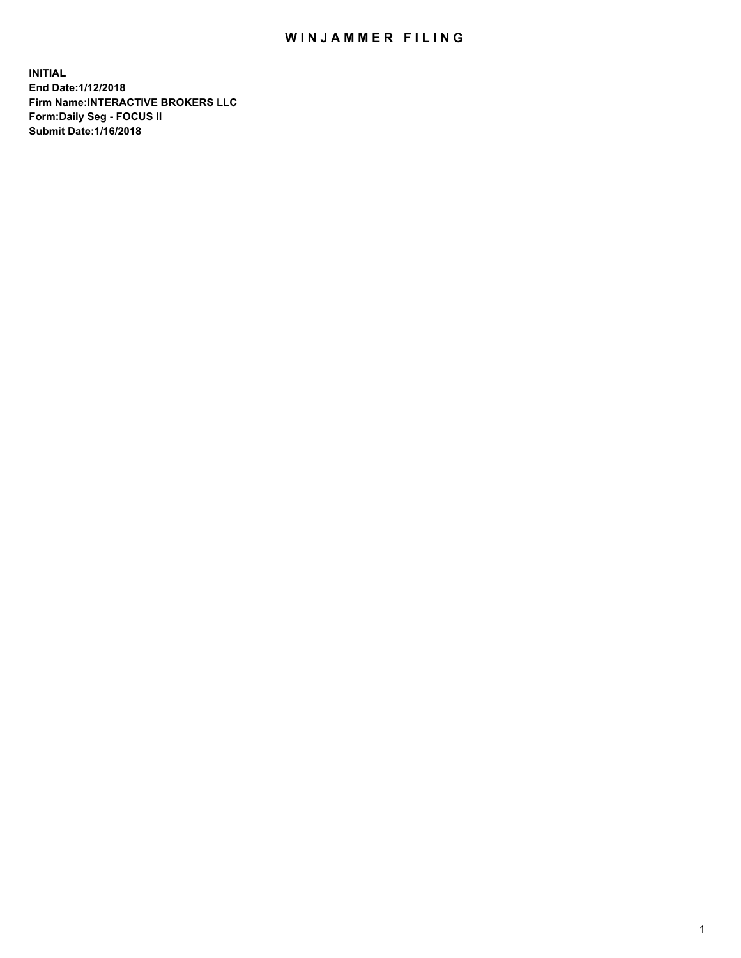## WIN JAMMER FILING

**INITIAL End Date:1/12/2018 Firm Name:INTERACTIVE BROKERS LLC Form:Daily Seg - FOCUS II Submit Date:1/16/2018**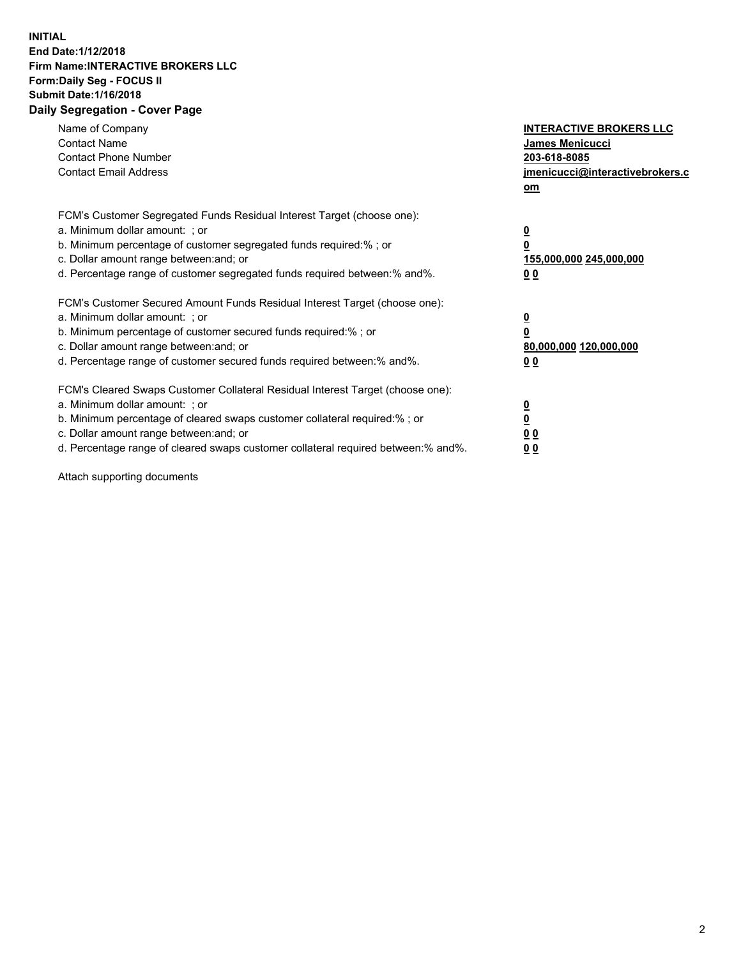## **INITIAL End Date:1/12/2018 Firm Name:INTERACTIVE BROKERS LLC Form:Daily Seg - FOCUS II Submit Date:1/16/2018 Daily Segregation - Cover Page**

| Name of Company<br><b>Contact Name</b><br><b>Contact Phone Number</b>                                                                                                                                                                                                                                                          | <b>INTERACTIVE BROKERS LLC</b><br><b>James Menicucci</b><br>203-618-8085                        |
|--------------------------------------------------------------------------------------------------------------------------------------------------------------------------------------------------------------------------------------------------------------------------------------------------------------------------------|-------------------------------------------------------------------------------------------------|
| <b>Contact Email Address</b>                                                                                                                                                                                                                                                                                                   | jmenicucci@interactivebrokers.c<br>om                                                           |
| FCM's Customer Segregated Funds Residual Interest Target (choose one):<br>a. Minimum dollar amount: ; or<br>b. Minimum percentage of customer segregated funds required:% ; or<br>c. Dollar amount range between: and; or<br>d. Percentage range of customer segregated funds required between:% and%.                         | $\overline{\mathbf{0}}$<br>$\overline{\mathbf{0}}$<br>155,000,000 245,000,000<br>0 <sub>0</sub> |
| FCM's Customer Secured Amount Funds Residual Interest Target (choose one):<br>a. Minimum dollar amount: ; or<br>b. Minimum percentage of customer secured funds required:%; or<br>c. Dollar amount range between: and; or<br>d. Percentage range of customer secured funds required between: % and %.                          | $\overline{\mathbf{0}}$<br>$\overline{\mathbf{0}}$<br>80,000,000 120,000,000<br>0 <sub>0</sub>  |
| FCM's Cleared Swaps Customer Collateral Residual Interest Target (choose one):<br>a. Minimum dollar amount: ; or<br>b. Minimum percentage of cleared swaps customer collateral required:% ; or<br>c. Dollar amount range between: and; or<br>d. Percentage range of cleared swaps customer collateral required between:% and%. | $\overline{\mathbf{0}}$<br>$\underline{\mathbf{0}}$<br>0 <sub>0</sub><br>0 <sup>0</sup>         |

Attach supporting documents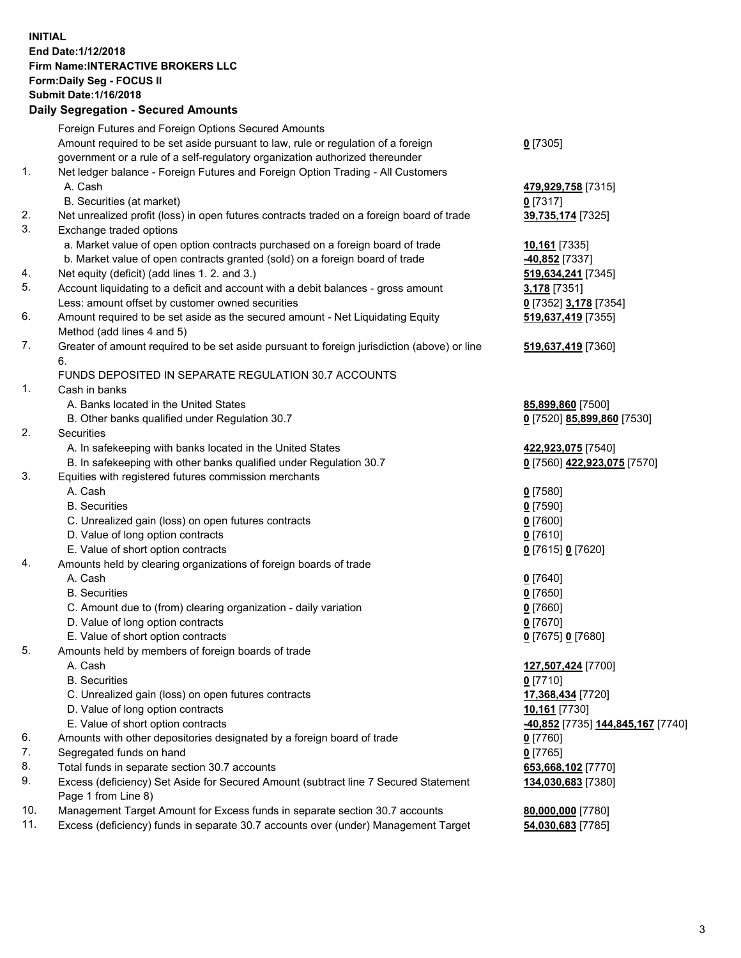## **INITIAL End Date:1/12/2018 Firm Name:INTERACTIVE BROKERS LLC Form:Daily Seg - FOCUS II Submit Date:1/16/2018 Daily Segregation - Secured Amounts**

|     | Daily Segregation - Secured Amounts                                                                        |                                   |
|-----|------------------------------------------------------------------------------------------------------------|-----------------------------------|
|     | Foreign Futures and Foreign Options Secured Amounts                                                        |                                   |
|     | Amount required to be set aside pursuant to law, rule or regulation of a foreign                           | $0$ [7305]                        |
|     | government or a rule of a self-regulatory organization authorized thereunder                               |                                   |
| 1.  | Net ledger balance - Foreign Futures and Foreign Option Trading - All Customers                            |                                   |
|     | A. Cash                                                                                                    | 479,929,758 [7315]                |
|     | B. Securities (at market)                                                                                  | $0$ [7317]                        |
| 2.  | Net unrealized profit (loss) in open futures contracts traded on a foreign board of trade                  | 39,735,174 [7325]                 |
| 3.  | Exchange traded options                                                                                    |                                   |
|     | a. Market value of open option contracts purchased on a foreign board of trade                             | 10,161 [7335]                     |
|     | b. Market value of open contracts granted (sold) on a foreign board of trade                               | $-40,852$ [7337]                  |
| 4.  | Net equity (deficit) (add lines 1.2. and 3.)                                                               | 519,634,241 [7345]                |
| 5.  | Account liquidating to a deficit and account with a debit balances - gross amount                          | 3,178 [7351]                      |
|     | Less: amount offset by customer owned securities                                                           | 0 [7352] 3,178 [7354]             |
| 6.  | Amount required to be set aside as the secured amount - Net Liquidating Equity                             | 519,637,419 [7355]                |
|     | Method (add lines 4 and 5)                                                                                 |                                   |
| 7.  | Greater of amount required to be set aside pursuant to foreign jurisdiction (above) or line                | 519,637,419 [7360]                |
|     | 6.                                                                                                         |                                   |
|     | FUNDS DEPOSITED IN SEPARATE REGULATION 30.7 ACCOUNTS                                                       |                                   |
| 1.  | Cash in banks                                                                                              |                                   |
|     | A. Banks located in the United States                                                                      | 85,899,860 [7500]                 |
|     | B. Other banks qualified under Regulation 30.7                                                             | 0 [7520] 85,899,860 [7530]        |
| 2.  | Securities                                                                                                 |                                   |
|     | A. In safekeeping with banks located in the United States                                                  | 422,923,075 [7540]                |
|     | B. In safekeeping with other banks qualified under Regulation 30.7                                         | 0 [7560] 422,923,075 [7570]       |
| 3.  | Equities with registered futures commission merchants                                                      |                                   |
|     | A. Cash                                                                                                    | $0$ [7580]                        |
|     | <b>B.</b> Securities                                                                                       | $0$ [7590]                        |
|     | C. Unrealized gain (loss) on open futures contracts                                                        | $0$ [7600]                        |
|     | D. Value of long option contracts                                                                          | $0$ [7610]                        |
|     | E. Value of short option contracts                                                                         | 0 [7615] 0 [7620]                 |
| 4.  | Amounts held by clearing organizations of foreign boards of trade                                          |                                   |
|     | A. Cash                                                                                                    | $0$ [7640]                        |
|     | <b>B.</b> Securities                                                                                       | $0$ [7650]                        |
|     | C. Amount due to (from) clearing organization - daily variation                                            | $0$ [7660]                        |
|     | D. Value of long option contracts                                                                          | $0$ [7670]                        |
|     | E. Value of short option contracts                                                                         | 0 [7675] 0 [7680]                 |
| 5.  | Amounts held by members of foreign boards of trade                                                         |                                   |
|     | A. Cash                                                                                                    | 127,507,424 [7700]                |
|     | <b>B.</b> Securities                                                                                       | $0$ [7710]                        |
|     | C. Unrealized gain (loss) on open futures contracts                                                        | 17,368,434 [7720]                 |
|     | D. Value of long option contracts                                                                          | 10,161 [7730]                     |
|     | E. Value of short option contracts                                                                         | -40,852 [7735] 144,845,167 [7740] |
| 6.  | Amounts with other depositories designated by a foreign board of trade                                     | 0 [7760]                          |
| 7.  | Segregated funds on hand                                                                                   | $0$ [7765]                        |
| 8.  | Total funds in separate section 30.7 accounts                                                              | 653,668,102 [7770]                |
| 9.  | Excess (deficiency) Set Aside for Secured Amount (subtract line 7 Secured Statement<br>Page 1 from Line 8) | 134,030,683 [7380]                |
| 10. | Management Target Amount for Excess funds in separate section 30.7 accounts                                | 80,000,000 [7780]                 |
| 11. | Excess (deficiency) funds in separate 30.7 accounts over (under) Management Target                         | 54,030,683 [7785]                 |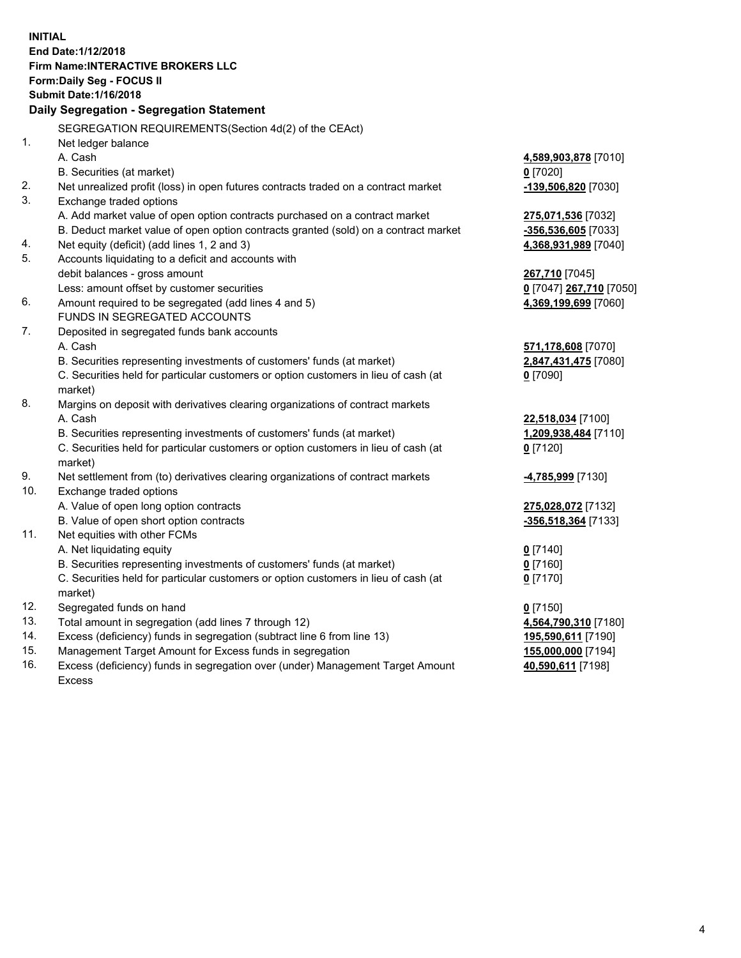**INITIAL End Date:1/12/2018 Firm Name:INTERACTIVE BROKERS LLC Form:Daily Seg - FOCUS II Submit Date:1/16/2018 Daily Segregation - Segregation Statement** SEGREGATION REQUIREMENTS(Section 4d(2) of the CEAct) 1. Net ledger balance A. Cash **4,589,903,878** [7010] B. Securities (at market) **0** [7020] 2. Net unrealized profit (loss) in open futures contracts traded on a contract market **-139,506,820** [7030] 3. Exchange traded options A. Add market value of open option contracts purchased on a contract market **275,071,536** [7032] B. Deduct market value of open option contracts granted (sold) on a contract market **-356,536,605** [7033] 4. Net equity (deficit) (add lines 1, 2 and 3) **4,368,931,989** [7040] 5. Accounts liquidating to a deficit and accounts with debit balances - gross amount **267,710** [7045] Less: amount offset by customer securities **0** [7047] **267,710** [7050] 6. Amount required to be segregated (add lines 4 and 5) **4,369,199,699** [7060] FUNDS IN SEGREGATED ACCOUNTS 7. Deposited in segregated funds bank accounts A. Cash **571,178,608** [7070] B. Securities representing investments of customers' funds (at market) **2,847,431,475** [7080] C. Securities held for particular customers or option customers in lieu of cash (at market) **0** [7090] 8. Margins on deposit with derivatives clearing organizations of contract markets A. Cash **22,518,034** [7100] B. Securities representing investments of customers' funds (at market) **1,209,938,484** [7110] C. Securities held for particular customers or option customers in lieu of cash (at market) **0** [7120] 9. Net settlement from (to) derivatives clearing organizations of contract markets **-4,785,999** [7130] 10. Exchange traded options A. Value of open long option contracts **275,028,072** [7132] B. Value of open short option contracts **-356,518,364** [7133] 11. Net equities with other FCMs A. Net liquidating equity **0** [7140] B. Securities representing investments of customers' funds (at market) **0** [7160] C. Securities held for particular customers or option customers in lieu of cash (at market) **0** [7170] 12. Segregated funds on hand **0** [7150] 13. Total amount in segregation (add lines 7 through 12) **4,564,790,310** [7180] 14. Excess (deficiency) funds in segregation (subtract line 6 from line 13) **195,590,611** [7190] 15. Management Target Amount for Excess funds in segregation **155,000,000** [7194]

16. Excess (deficiency) funds in segregation over (under) Management Target Amount Excess

**40,590,611** [7198]